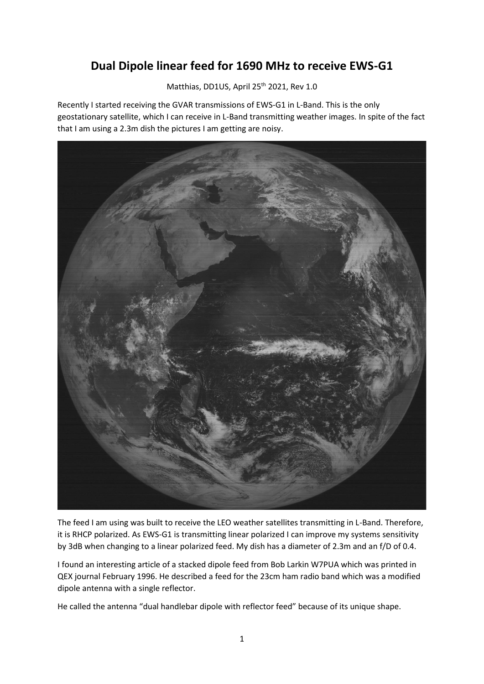## **Dual Dipole linear feed for 1690 MHz to receive EWS-G1**

Matthias, DD1US, April 25<sup>th</sup> 2021, Rev 1.0

Recently I started receiving the GVAR transmissions of EWS-G1 in L-Band. This is the only geostationary satellite, which I can receive in L-Band transmitting weather images. In spite of the fact that I am using a 2.3m dish the pictures I am getting are noisy.



The feed I am using was built to receive the LEO weather satellites transmitting in L-Band. Therefore, it is RHCP polarized. As EWS-G1 is transmitting linear polarized I can improve my systems sensitivity by 3dB when changing to a linear polarized feed. My dish has a diameter of 2.3m and an f/D of 0.4.

I found an interesting article of a stacked dipole feed from Bob Larkin W7PUA which was printed in QEX journal February 1996. He described a feed for the 23cm ham radio band which was a modified dipole antenna with a single reflector.

He called the antenna "dual handlebar dipole with reflector feed" because of its unique shape.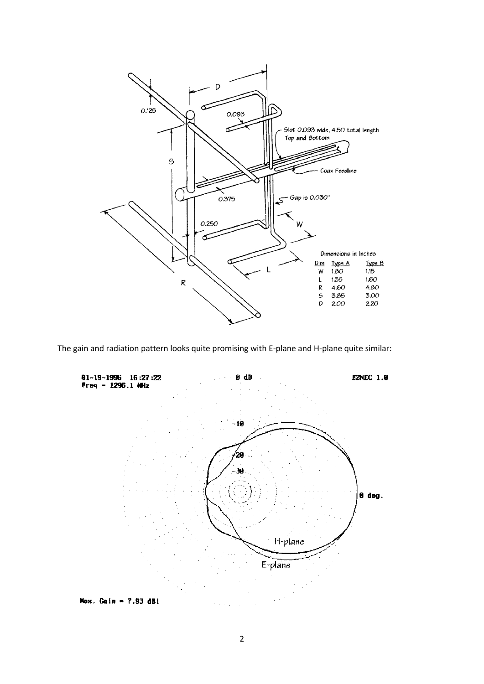

The gain and radiation pattern looks quite promising with E-plane and H-plane quite similar: